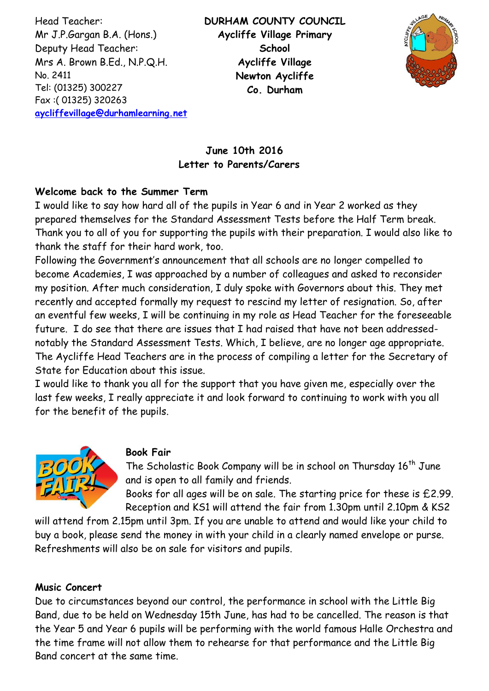Head Teacher: Mr J.P.Gargan B.A. (Hons.) Deputy Head Teacher: Mrs A. Brown B.Ed., N.P.Q.H. No. 2411 Tel: (01325) 300227 Fax :( 01325) 320263 **[aycliffevillage@durhamlearning.net](mailto:aycliffevillage@durhamlearning.net)** **DURHAM COUNTY COUNCIL Aycliffe Village Primary School Aycliffe Village Newton Aycliffe Co. Durham**



# **June 10th 2016 Letter to Parents/Carers**

### **Welcome back to the Summer Term**

I would like to say how hard all of the pupils in Year 6 and in Year 2 worked as they prepared themselves for the Standard Assessment Tests before the Half Term break. Thank you to all of you for supporting the pupils with their preparation. I would also like to thank the staff for their hard work, too.

Following the Government's announcement that all schools are no longer compelled to become Academies, I was approached by a number of colleagues and asked to reconsider my position. After much consideration, I duly spoke with Governors about this. They met recently and accepted formally my request to rescind my letter of resignation. So, after an eventful few weeks, I will be continuing in my role as Head Teacher for the foreseeable future. I do see that there are issues that I had raised that have not been addressednotably the Standard Assessment Tests. Which, I believe, are no longer age appropriate. The Aycliffe Head Teachers are in the process of compiling a letter for the Secretary of State for Education about this issue.

I would like to thank you all for the support that you have given me, especially over the last few weeks, I really appreciate it and look forward to continuing to work with you all for the benefit of the pupils.



#### **Book Fair**

The Scholastic Book Company will be in school on Thursday  $16<sup>th</sup>$  June and is open to all family and friends.

Books for all ages will be on sale. The starting price for these is £2.99. Reception and KS1 will attend the fair from 1.30pm until 2.10pm & KS2

will attend from 2.15pm until 3pm. If you are unable to attend and would like your child to buy a book, please send the money in with your child in a clearly named envelope or purse. Refreshments will also be on sale for visitors and pupils.

#### **Music Concert**

Due to circumstances beyond our control, the performance in school with the Little Big Band, due to be held on Wednesday 15th June, has had to be cancelled. The reason is that the Year 5 and Year 6 pupils will be performing with the world famous Halle Orchestra and the time frame will not allow them to rehearse for that performance and the Little Big Band concert at the same time.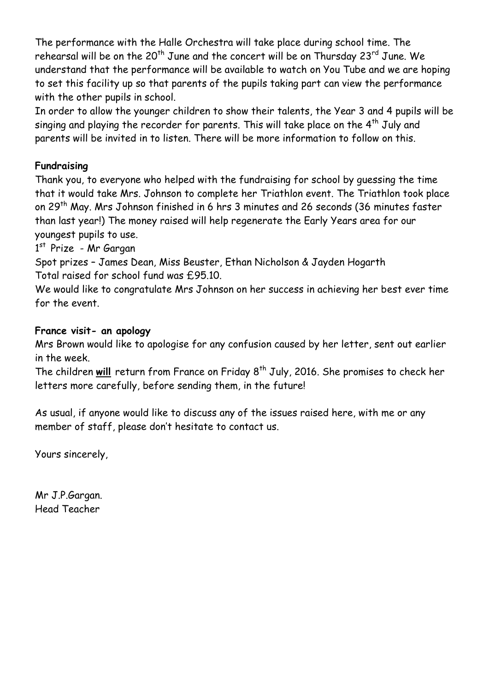The performance with the Halle Orchestra will take place during school time. The rehearsal will be on the 20<sup>th</sup> June and the concert will be on Thursday 23<sup>rd</sup> June. We understand that the performance will be available to watch on You Tube and we are hoping to set this facility up so that parents of the pupils taking part can view the performance with the other pupils in school.

In order to allow the younger children to show their talents, the Year 3 and 4 pupils will be singing and playing the recorder for parents. This will take place on the  $4<sup>th</sup>$  July and parents will be invited in to listen. There will be more information to follow on this.

## **Fundraising**

Thank you, to everyone who helped with the fundraising for school by guessing the time that it would take Mrs. Johnson to complete her Triathlon event. The Triathlon took place on 29<sup>th</sup> May. Mrs Johnson finished in 6 hrs 3 minutes and 26 seconds (36 minutes faster than last year!) The money raised will help regenerate the Early Years area for our youngest pupils to use.

1<sup>st</sup> Prize - Mr Gargan

Spot prizes – James Dean, Miss Beuster, Ethan Nicholson & Jayden Hogarth Total raised for school fund was £95.10.

We would like to congratulate Mrs Johnson on her success in achieving her best ever time for the event.

### **France visit- an apology**

Mrs Brown would like to apologise for any confusion caused by her letter, sent out earlier in the week.

The children will return from France on Friday 8<sup>th</sup> July, 2016. She promises to check her letters more carefully, before sending them, in the future!

As usual, if anyone would like to discuss any of the issues raised here, with me or any member of staff, please don't hesitate to contact us.

Yours sincerely,

Mr J.P.Gargan. Head Teacher